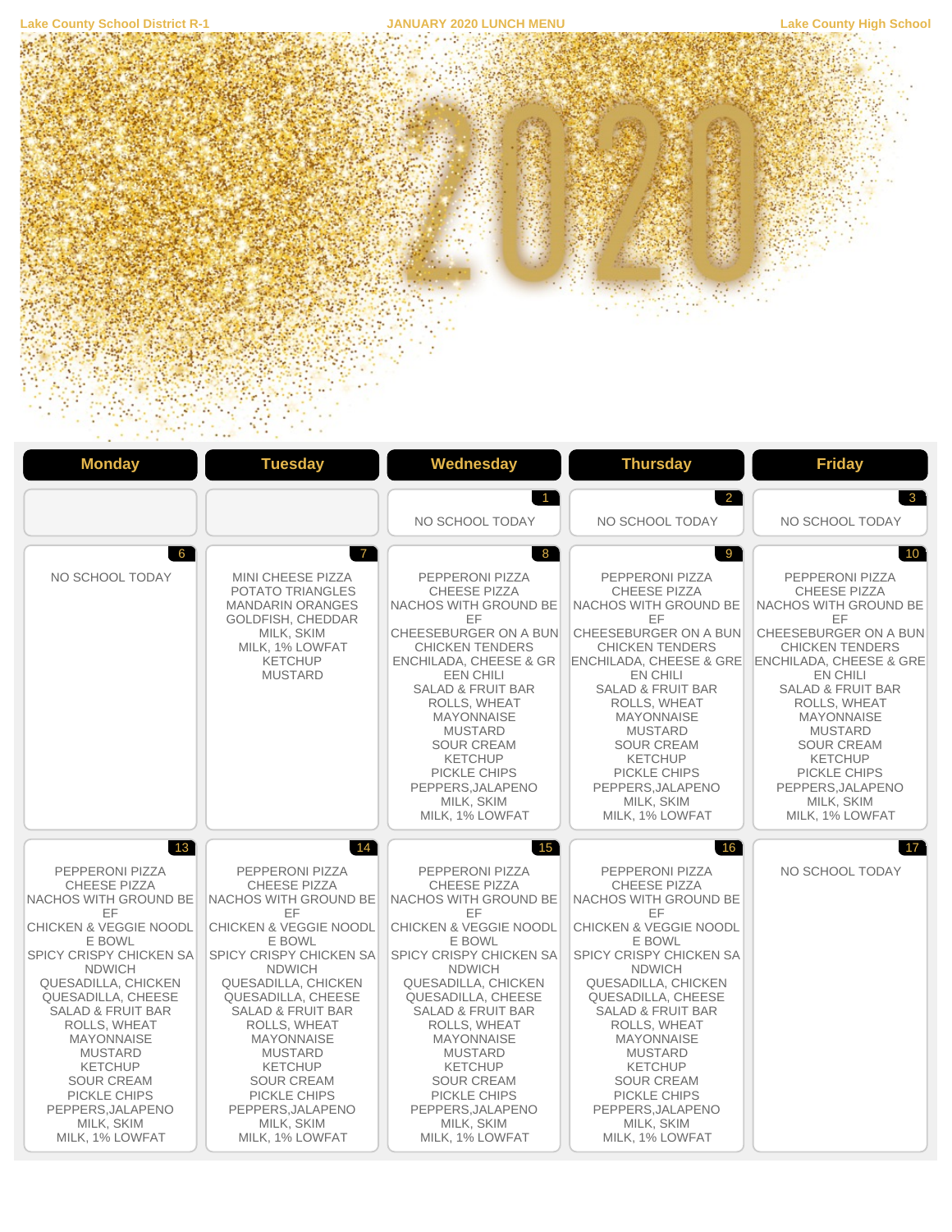

 $\ddot{\phantom{1}}$ 

 $\sim$   $\sim$   $\sim$ 

| <b>Monday</b>                                                                                                                                                                                                                                                                                                                                                                                                                  | <b>Tuesday</b>                                                                                                                                                                                                                                                                                                                                                                                                           | Wednesday                                                                                                                                                                                                                                                                                                                                                                                                               | <b>Thursday</b>                                                                                                                                                                                                                                                                                                                                                                                                                | <b>Friday</b>                                                                                                                                                                                                                                                                                                                                                                                            |
|--------------------------------------------------------------------------------------------------------------------------------------------------------------------------------------------------------------------------------------------------------------------------------------------------------------------------------------------------------------------------------------------------------------------------------|--------------------------------------------------------------------------------------------------------------------------------------------------------------------------------------------------------------------------------------------------------------------------------------------------------------------------------------------------------------------------------------------------------------------------|-------------------------------------------------------------------------------------------------------------------------------------------------------------------------------------------------------------------------------------------------------------------------------------------------------------------------------------------------------------------------------------------------------------------------|--------------------------------------------------------------------------------------------------------------------------------------------------------------------------------------------------------------------------------------------------------------------------------------------------------------------------------------------------------------------------------------------------------------------------------|----------------------------------------------------------------------------------------------------------------------------------------------------------------------------------------------------------------------------------------------------------------------------------------------------------------------------------------------------------------------------------------------------------|
|                                                                                                                                                                                                                                                                                                                                                                                                                                |                                                                                                                                                                                                                                                                                                                                                                                                                          | $\overline{1}$<br>NO SCHOOL TODAY                                                                                                                                                                                                                                                                                                                                                                                       | $\overline{2}$<br>NO SCHOOL TODAY                                                                                                                                                                                                                                                                                                                                                                                              | 3 <sup>1</sup><br>NO SCHOOL TODAY                                                                                                                                                                                                                                                                                                                                                                        |
| 6<br>NO SCHOOL TODAY                                                                                                                                                                                                                                                                                                                                                                                                           | $\overline{7}$<br>MINI CHEESE PIZZA<br>POTATO TRIANGLES<br><b>MANDARIN ORANGES</b><br>GOLDFISH, CHEDDAR<br>MILK. SKIM<br>MILK, 1% LOWFAT<br><b>KETCHUP</b><br><b>MUSTARD</b>                                                                                                                                                                                                                                             | 8<br>PEPPERONI PIZZA<br><b>CHEESE PIZZA</b><br><b>NACHOS WITH GROUND BE</b><br>EF<br>CHEESEBURGER ON A BUN<br><b>CHICKEN TENDERS</b><br><b>ENCHILADA, CHEESE &amp; GR</b><br><b>EEN CHILI</b><br><b>SALAD &amp; FRUIT BAR</b><br>ROLLS, WHEAT<br><b>MAYONNAISE</b><br><b>MUSTARD</b><br><b>SOUR CREAM</b><br><b>KETCHUP</b><br>PICKLE CHIPS<br>PEPPERS, JALAPENO<br>MILK, SKIM<br>MILK, 1% LOWFAT                       | 9<br>PEPPERONI PIZZA<br><b>CHEESE PIZZA</b><br>NACHOS WITH GROUND BE<br>EF<br>CHEESEBURGER ON A BUN<br>CHICKEN TENDERS<br><b>ENCHILADA, CHEESE &amp; GREI</b><br>EN CHILI<br><b>SALAD &amp; FRUIT BAR</b><br>ROLLS, WHEAT<br><b>MAYONNAISE</b><br><b>MUSTARD</b><br><b>SOUR CREAM</b><br><b>KETCHUP</b><br>PICKLE CHIPS<br>PEPPERS, JALAPENO<br>MILK, SKIM<br>MILK, 1% LOWFAT                                                  | 10 <sup>1</sup><br>PEPPERONI PIZZA<br><b>CHEESE PIZZA</b><br><b>NACHOS WITH GROUND BE</b><br>EF<br>CHEESEBURGER ON A BUN<br><b>CHICKEN TENDERS</b><br><b>ENCHILADA, CHEESE &amp; GRE</b><br>EN CHILI<br><b>SALAD &amp; FRUIT BAR</b><br>ROLLS, WHEAT<br><b>MAYONNAISE</b><br><b>MUSTARD</b><br><b>SOUR CREAM</b><br><b>KETCHUP</b><br>PICKLE CHIPS<br>PEPPERS, JALAPENO<br>MILK, SKIM<br>MILK, 1% LOWFAT |
| 13<br>PEPPERONI PIZZA<br><b>CHEESE PIZZA</b><br>NACHOS WITH GROUND BE<br>EF<br><b>CHICKEN &amp; VEGGIE NOODL</b><br>E BOWL<br><b>SPICY CRISPY CHICKEN SA</b><br><b>NDWICH</b><br>QUESADILLA, CHICKEN<br>QUESADILLA, CHEESE<br><b>SALAD &amp; FRUIT BAR</b><br>ROLLS, WHEAT<br><b>MAYONNAISE</b><br><b>MUSTARD</b><br><b>KETCHUP</b><br><b>SOUR CREAM</b><br>PICKLE CHIPS<br>PEPPERS, JALAPENO<br>MILK, SKIM<br>MILK, 1% LOWFAT | 14<br>PEPPERONI PIZZA<br><b>CHEESE PIZZA</b><br>NACHOS WITH GROUND BE<br>EF.<br><b>CHICKEN &amp; VEGGIE NOODL</b><br>E BOWL<br>SPICY CRISPY CHICKEN SA<br><b>NDWICH</b><br>QUESADILLA, CHICKEN<br>QUESADILLA, CHEESE<br><b>SALAD &amp; FRUIT BAR</b><br>ROLLS, WHEAT<br><b>MAYONNAISE</b><br><b>MUSTARD</b><br><b>KETCHUP</b><br><b>SOUR CREAM</b><br>PICKLE CHIPS<br>PEPPERS, JALAPENO<br>MILK. SKIM<br>MILK, 1% LOWFAT | 15<br>PEPPERONI PIZZA<br><b>CHEESE PIZZA</b><br>NACHOS WITH GROUND BE<br>EF<br><b>CHICKEN &amp; VEGGIE NOODL</b><br>E BOWL<br>SPICY CRISPY CHICKEN SA<br><b>NDWICH</b><br>QUESADILLA, CHICKEN<br>QUESADILLA, CHEESE<br><b>SALAD &amp; FRUIT BAR</b><br>ROLLS, WHEAT<br><b>MAYONNAISE</b><br><b>MUSTARD</b><br><b>KETCHUP</b><br><b>SOUR CREAM</b><br>PICKLE CHIPS<br>PEPPERS, JALAPENO<br>MILK. SKIM<br>MILK, 1% LOWFAT | 16<br>PEPPERONI PIZZA<br><b>CHEESE PIZZA</b><br>NACHOS WITH GROUND BE<br>EF<br><b>CHICKEN &amp; VEGGIE NOODL</b><br>E BOWL<br>SPICY CRISPY CHICKEN SA<br><b>NDWICH</b><br><b>QUESADILLA, CHICKEN</b><br>QUESADILLA, CHEESE<br><b>SALAD &amp; FRUIT BAR</b><br>ROLLS, WHEAT<br><b>MAYONNAISE</b><br><b>MUSTARD</b><br><b>KETCHUP</b><br><b>SOUR CREAM</b><br>PICKLE CHIPS<br>PEPPERS, JALAPENO<br>MILK, SKIM<br>MILK, 1% LOWFAT | $\vert$ 17<br>NO SCHOOL TODAY                                                                                                                                                                                                                                                                                                                                                                            |